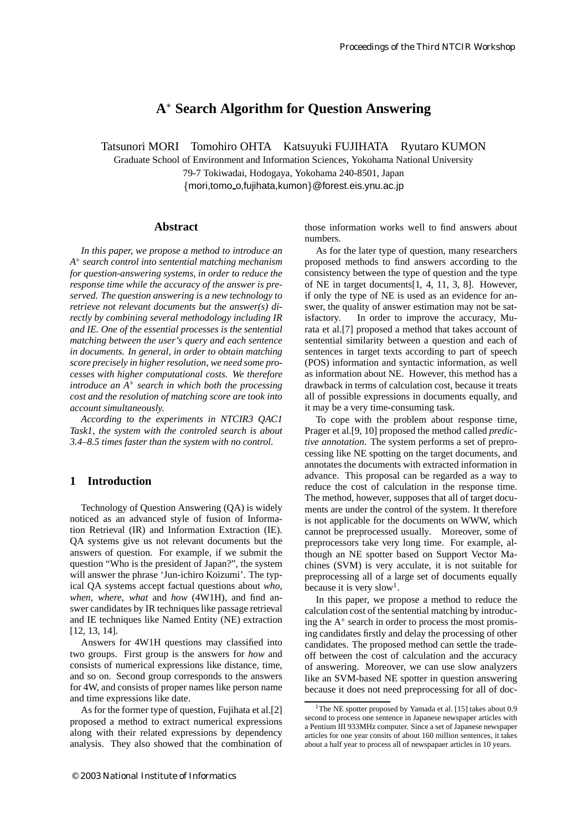# **A Search Algorithm for Question Answering**

Tatsunori MORI Tomohiro OHTA Katsuyuki FUJIHATA Ryutaro KUMON

Graduate School of Environment and Information Sciences, Yokohama National University 79-7 Tokiwadai, Hodogaya, Yokohama 240-8501, Japan mori,tomo o,fujihata,kumon-@forest.eis.ynu.ac.jp

#### **Abstract**

*In this paper, we propose a method to introduce an A search control into sentential matching mechanism for question-answering systems, in order to reduce the response time while the accuracy of the answer is preserved. The question answering is a new technology to retrieve not relevant documents but the answer(s) directly by combining several methodology including IR and IE. One of the essential processes is the sentential matching between the user's query and each sentence in documents. In general, in order to obtain matching score precisely in higher resolution, we need some processes with higher computational costs. We therefore introduce an A search in which both the processing cost and the resolution of matching score are took into account simultaneously.*

*According to the experiments in NTCIR3 QAC1 Task1, the system with the controled search is about 3.4–8.5 times faster than the system with no control.*

# **1 Introduction**

Technology of Question Answering (QA) is widely noticed as an advanced style of fusion of Information Retrieval (IR) and Information Extraction (IE). QA systems give us not relevant documents but the answers of question. For example, if we submit the question "Who is the president of Japan?", the system will answer the phrase 'Jun-ichiro Koizumi'. The typical QA systems accept factual questions about *who*, *when*, *where*, *what* and *how* (4W1H), and find answer candidates by IR techniques like passage retrieval and IE techniques like Named Entity (NE) extraction [12, 13, 14].

Answers for 4W1H questions may classified into two groups. First group is the answers for *how* and consists of numerical expressions like distance, time, and so on. Second group corresponds to the answers for 4W, and consists of proper names like person name and time expressions like date.

As for the former type of question, Fujihata et al.[2] proposed a method to extract numerical expressions along with their related expressions by dependency analysis. They also showed that the combination of those information works well to find answers about numbers.

As for the later type of question, many researchers proposed methods to find answers according to the consistency between the type of question and the type of NE in target documents[1, 4, 11, 3, 8]. However, if only the type of NE is used as an evidence for answer, the quality of answer estimation may not be satisfactory. In order to improve the accuracy, Murata et al.[7] proposed a method that takes account of sentential similarity between a question and each of sentences in target texts according to part of speech (POS) information and syntactic information, as well as information about NE. However, this method has a drawback in terms of calculation cost, because it treats all of possible expressions in documents equally, and it may be a very time-consuming task.

To cope with the problem about response time, Prager et al.[9, 10] proposed the method called *predictive annotation*. The system performs a set of preprocessing like NE spotting on the target documents, and annotates the documents with extracted information in advance. This proposal can be regarded as a way to reduce the cost of calculation in the response time. The method, however, supposes that all of target documents are under the control of the system. It therefore is not applicable for the documents on WWW, which cannot be preprocessed usually. Moreover, some of preprocessors take very long time. For example, although an NE spotter based on Support Vector Machines (SVM) is very acculate, it is not suitable for preprocessing all of a large set of documents equally because it is very slow<sup>1</sup>.

In this paper, we propose a method to reduce the calculation cost of the sentential matching by introducing the A search in order to process the most promising candidates firstly and delay the processing of other candidates. The proposed method can settle the tradeoff between the cost of calculation and the accuracy of answering. Moreover, we can use slow analyzers like an SVM-based NE spotter in question answering because it does not need preprocessing for all of doc-

<sup>&</sup>lt;sup>1</sup>The NE spotter proposed by Yamada et al. [15] takes about  $0.9$ second to process one sentence in Japanese newspaper articles with a Pentium III 933MHz computer. Since a set of Japanese newspaper articles for one year consits of about 160 million sentences, it takes about a half year to process all of newspapaer articles in 10 years.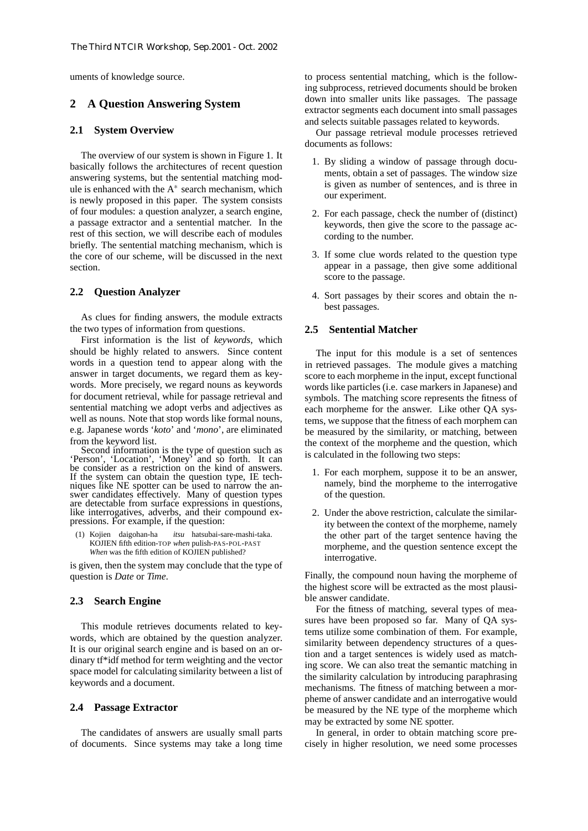uments of knowledge source.

### **2 A Question Answering System**

#### **2.1 System Overview**

The overview of our system is shown in Figure 1. It basically follows the architectures of recent question answering systems, but the sentential matching module is enhanced with the  $A^*$  search mechanism, which is newly proposed in this paper. The system consists of four modules: a question analyzer, a search engine, a passage extractor and a sentential matcher. In the rest of this section, we will describe each of modules briefly. The sentential matching mechanism, which is the core of our scheme, will be discussed in the next section.

#### **2.2 Question Analyzer**

As clues for finding answers, the module extracts the two types of information from questions.

First information is the list of *keywords*, which should be highly related to answers. Since content words in a question tend to appear along with the answer in target documents, we regard them as keywords. More precisely, we regard nouns as keywords for document retrieval, while for passage retrieval and sentential matching we adopt verbs and adjectives as well as nouns. Note that stop words like formal nouns, e.g. Japanese words '*koto*' and '*mono*', are eliminated from the keyword list.

Second information is the type of question such as 'Person', 'Location', 'Money' and so forth. It can be consider as a restriction on the kind of answers. If the system can obtain the question type, IE techniques like NE spotter can be used to narrow the answer candidates effectively. Many of question types are detectable from surface expressions in questions, like interrogatives, adverbs, and their compound expressions. For example, if the question:

(1) Kojien daigohan-ha *itsu* hatsubai-sare-mashi-taka. KOJIEN fifth edition-TOP *when* pulish-PAS-POL-PAST *When* was the fifth edition of KOJIEN published?

is given, then the system may conclude that the type of question is *Date* or *Time*.

### **2.3 Search Engine**

This module retrieves documents related to keywords, which are obtained by the question analyzer. It is our original search engine and is based on an ordinary tf\*idf method for term weighting and the vector space model for calculating similarity between a list of keywords and a document.

#### **2.4 Passage Extractor**

The candidates of answers are usually small parts of documents. Since systems may take a long time to process sentential matching, which is the following subprocess, retrieved documents should be broken down into smaller units like passages. The passage extractor segments each document into small passages and selects suitable passages related to keywords.

Our passage retrieval module processes retrieved documents as follows:

- 1. By sliding a window of passage through documents, obtain a set of passages. The window size is given as number of sentences, and is three in our experiment.
- 2. For each passage, check the number of (distinct) keywords, then give the score to the passage according to the number.
- 3. If some clue words related to the question type appear in a passage, then give some additional score to the passage.
- 4. Sort passages by their scores and obtain the nbest passages.

#### **2.5 Sentential Matcher**

The input for this module is a set of sentences in retrieved passages. The module gives a matching score to each morpheme in the input, except functional words like particles (i.e. case markers in Japanese) and symbols. The matching score represents the fitness of each morpheme for the answer. Like other QA systems, we suppose that the fitness of each morphem can be measured by the similarity, or matching, between the context of the morpheme and the question, which is calculated in the following two steps:

- 1. For each morphem, suppose it to be an answer, namely, bind the morpheme to the interrogative of the question.
- 2. Under the above restriction, calculate the similarity between the context of the morpheme, namely the other part of the target sentence having the morpheme, and the question sentence except the interrogative.

Finally, the compound noun having the morpheme of the highest score will be extracted as the most plausible answer candidate.

For the fitness of matching, several types of measures have been proposed so far. Many of QA systems utilize some combination of them. For example, similarity between dependency structures of a question and a target sentences is widely used as matching score. We can also treat the semantic matching in the similarity calculation by introducing paraphrasing mechanisms. The fitness of matching between a morpheme of answer candidate and an interrogative would be measured by the NE type of the morpheme which may be extracted by some NE spotter.

In general, in order to obtain matching score precisely in higher resolution, we need some processes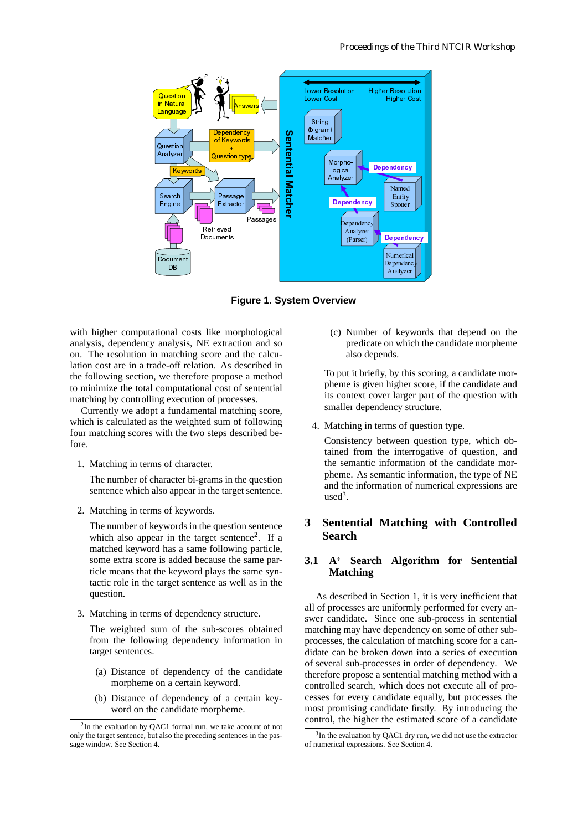

**Figure 1. System Overview**

with higher computational costs like morphological analysis, dependency analysis, NE extraction and so on. The resolution in matching score and the calculation cost are in a trade-off relation. As described in the following section, we therefore propose a method to minimize the total computational cost of sentential matching by controlling execution of processes.

Currently we adopt a fundamental matching score, which is calculated as the weighted sum of following four matching scores with the two steps described before.

1. Matching in terms of character.

The number of character bi-grams in the question sentence which also appear in the target sentence.

2. Matching in terms of keywords.

The number of keywords in the question sentence which also appear in the target sentence<sup>2</sup>. If a matched keyword has a same following particle, some extra score is added because the same particle means that the keyword plays the same syntactic role in the target sentence as well as in the question.

3. Matching in terms of dependency structure.

The weighted sum of the sub-scores obtained from the following dependency information in target sentences.

- (a) Distance of dependency of the candidate morpheme on a certain keyword.
- (b) Distance of dependency of a certain keyword on the candidate morpheme.

(c) Number of keywords that depend on the predicate on which the candidate morpheme also depends.

To put it briefly, by this scoring, a candidate morpheme is given higher score, if the candidate and its context cover larger part of the question with smaller dependency structure.

4. Matching in terms of question type.

(Parser)<br> **We Same Server Analyzer Starf**<br>
also dut it bries is given they interest<br>
interest deposited from the server and the server deposited<br> **charge of the server of the Server Server Server** Example 1991<br>
Properties of the set of the set of the set of the set of the set of the set of the set of the set of the set of the set of the set of the set of the set of the set of the set of the set of the set of the set Dependence<br>
Analyzer<br>
Analyzer<br>
Analyzer<br>
Musical<br>
Supplementary<br>
Supplementary<br>
Supplementary<br>
The intermatic in<br>
Supplementary<br>
Musical<br>
Musical<br>
Musical<br>
Musical<br>
Musical<br>
Musical<br>
Musical<br>
Musical<br>
Musical<br>
Musical<br>
Mu Analyzer<br>
Analyzer<br>
Analyzer<br>
Served Manalyzer<br>
Served Manalyzer<br>
The Served Control of the Manalyzer<br>
Control of the Served Control of the Manalyzer<br>
Algor<br>
Algor f keyn<br>Analyzer Management Controller<br>Analyzer Internation of<br>Algo<br>Algo<br>Algo<br>Algo<br>Action Consistency between question type, which obtained from the interrogative of question, and the semantic information of the candidate morpheme. As semantic information, the type of NE and the information of numerical expressions are  $used<sup>3</sup>$ .

# **3 Sentential Matching with Controlled Search**

# **3.1 A Search Algorithm for Sentential Matching**

As described in Section 1, it is very inefficient that all of processes are uniformly performed for every answer candidate. Since one sub-process in sentential matching may have dependency on some of other subprocesses, the calculation of matching score for a candidate can be broken down into a series of execution of several sub-processes in order of dependency. We therefore propose a sentential matching method with a controlled search, which does not execute all of processes for every candidate equally, but processes the most promising candidate firstly. By introducing the control, the higher the estimated score of a candidate

 $2$ In the evaluation by QAC1 formal run, we take account of not only the target sentence, but also the preceding sentences in the passage window. See Section 4.

 $3$ In the evaluation by QAC1 dry run, we did not use the extractor of numerical expressions. See Section 4.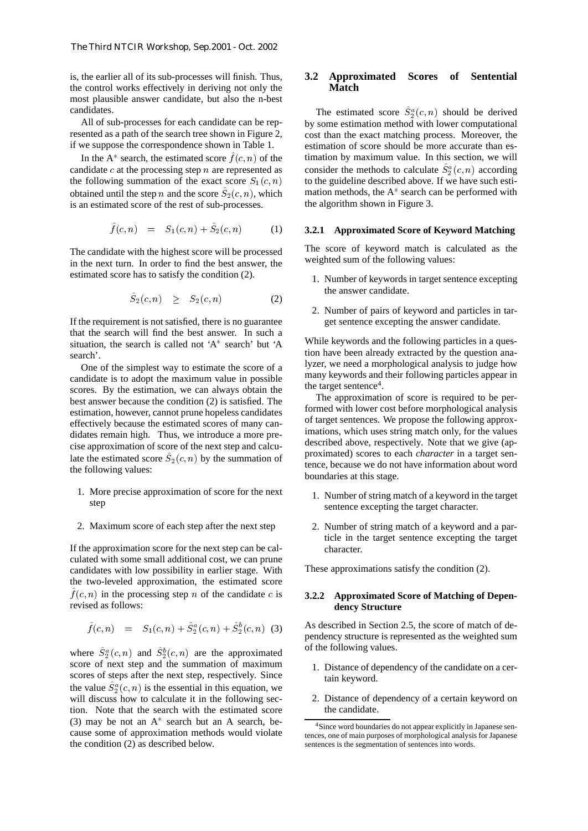is, the earlier all of its sub-processes will finish. Thus, the control works effectively in deriving not only the most plausible answer candidate, but also the n-best candidates.

All of sub-processes for each candidate can be represented as a path of the search tree shown in Figure 2, if we suppose the correspondence shown in Table 1.

In the A<sup>\*</sup> search, the estimated score  $f(c, n)$  of the candidate  $c$  at the processing step  $n$  are represented as the following summation of the exact score  $S_1(c, n)$  to obtained until the step *n* and the score  $S_2(c, n)$ , which is an estimated score of the rest of sub-processes.

$$
\hat{f}(c,n) = S_1(c,n) + \hat{S}_2(c,n) \tag{1}
$$

The candidate with the highest score will be processed in the next turn. In order to find the best answer, the estimated score has to satisfy the condition (2).

$$
S_2(c, n) \geq S_2(c, n) \tag{2}
$$

If the requirement is not satisfied, there is no guarantee that the search will find the best answer. In such a situation, the search is called not 'A search' but 'A search'.

One of the simplest way to estimate the score of a candidate is to adopt the maximum value in possible scores. By the estimation, we can always obtain the best answer because the condition (2) is satisfied. The estimation, however, cannot prune hopeless candidates effectively because the estimated scores of many candidates remain high. Thus, we introduce a more precise approximation of score of the next step and calculate the estimated score  $S_2(c, n)$  by the summation of the following values:

- 1. More precise approximation of score for the next step
- 2. Maximum score of each step after the next step

If the approximation score for the next step can be calculated with some small additional cost, we can prune candidates with low possibility in earlier stage. With the two-leveled approximation, the estimated score  $f(c, n)$  in the processing step n of the candidate c is revised as follows:

$$
f(c, n) = S_1(c, n) + S_2^a(c, n) + S_2^b(c, n) \quad (3)
$$

where  $S_2^a(c, n)$  and  $S_2^b(c, n)$  are the approximated score of next step and the summation of maximum scores of steps after the next step, respectively. Since the value  $S_2^a(c, n)$  is the essential in this equation, we will discuss how to calculate it in the following section. Note that the search with the estimated score (3) may be not an A search but an A search, because some of approximation methods would violate the condition (2) as described below.

# **3.2 Approximated Scores of Sentential Match**

 to the guideline described above. If we have such esti-The estimated score  $S_2^a(c, n)$  should be derived by some estimation method with lower computational cost than the exact matching process. Moreover, the estimation of score should be more accurate than estimation by maximum value. In this section, we will consider the methods to calculate  $S_2^a(c, n)$  according mation methods, the  $A^*$  search can be performed with the algorithm shown in Figure 3.

#### **3.2.1 Approximated Score of Keyword Matching**

The score of keyword match is calculated as the weighted sum of the following values:

- 1. Number of keywords in target sentence excepting the answer candidate.
- 2. Number of pairs of keyword and particles in target sentence excepting the answer candidate.

While keywords and the following particles in a question have been already extracted by the question analyzer, we need a morphological analysis to judge how many keywords and their following particles appear in the target sentence<sup>4</sup>.

The approximation of score is required to be performed with lower cost before morphological analysis of target sentences. We propose the following approximations, which uses string match only, for the values described above, respectively. Note that we give (approximated) scores to each *character* in a target sentence, because we do not have information about word boundaries at this stage.

- 1. Number of string match of a keyword in the target sentence excepting the target character.
- 2. Number of string match of a keyword and a particle in the target sentence excepting the target character.

These approximations satisfy the condition (2).

#### **3.2.2 Approximated Score of Matching of Dependency Structure**

As described in Section 2.5, the score of match of dependency structure is represented as the weighted sum of the following values.

- 1. Distance of dependency of the candidate on a certain keyword.
- 2. Distance of dependency of a certain keyword on the candidate.

<sup>4</sup>Since word boundaries do not appear explicitly in Japanese sentences, one of main purposes of morphological analysis for Japanese sentences is the segmentation of sentences into words.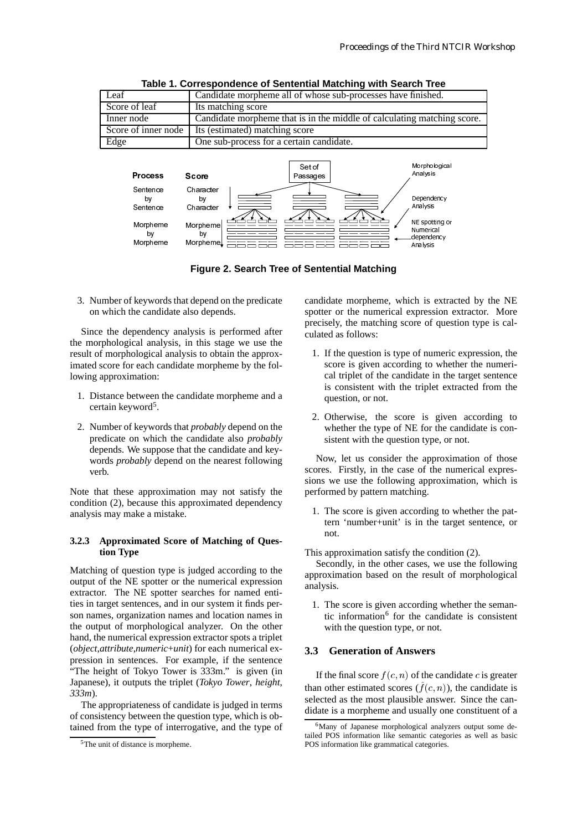

**Table 1. Correspondence of Sentential Matching with Search Tree**



3. Number of keywords that depend on the predicate on which the candidate also depends.

by Morphem

by Morpheme

Since the dependency analysis is performed after the morphological analysis, in this stage we use the result of morphological analysis to obtain the approximated score for each candidate morpheme by the following approximation:

- 1. Distance between the candidate morpheme and a certain keyword<sup>5</sup>.
- 2. Number of keywords that *probably* depend on the predicate on which the candidate also *probably* depends. We suppose that the candidate and keywords *probably* depend on the nearest following verb.

Note that these approximation may not satisfy the condition (2), because this approximated dependency analysis may make a mistake.

#### **3.2.3 Approximated Score of Matching of Question Type**

Matching of question type is judged according to the output of the NE spotter or the numerical expression extractor. The NE spotter searches for named entities in target sentences, and in our system it finds person names, organization names and location names in the output of morphological analyzer. On the other hand, the numerical expression extractor spots a triplet (*object*,*attribute*,*numeric*+*unit*) for each numerical expression in sentences. For example, if the sentence "The height of Tokyo Tower is 333m." is given (in Japanese), it outputs the triplet (*Tokyo Tower*, *height*, *333m*).

The appropriateness of candidate is judged in terms of consistency between the question type, which is obtained from the type of interrogative, and the type of candidate morpheme, which is extracted by the NE spotter or the numerical expression extractor. More precisely, the matching score of question type is calculated as follows:

dependency Analysis

- 1. If the question is type of numeric expression, the score is given according to whether the numerical triplet of the candidate in the target sentence is consistent with the triplet extracted from the question, or not.
- 2. Otherwise, the score is given according to whether the type of NE for the candidate is consistent with the question type, or not.

Now, let us consider the approximation of those scores. Firstly, in the case of the numerical expressions we use the following approximation, which is performed by pattern matching.

1. The score is given according to whether the pattern 'number+unit' is in the target sentence, or not.

This approximation satisfy the condition (2).

Secondly, in the other cases, we use the following approximation based on the result of morphological analysis.

1. The score is given according whether the semantic information $6$  for the candidate is consistent with the question type, or not.

# **3.3 Generation of Answers**

If the final score  $f(c, n)$  of the candidate c is greater than other estimated scores  $(f(c, n))$ , the candidate is selected as the most plausible answer. Since the candidate is a morpheme and usually one constituent of a

<sup>5</sup>The unit of distance is morpheme.

<sup>&</sup>lt;sup>6</sup>Many of Japanese morphological analyzers output some detailed POS information like semantic categories as well as basic POS information like grammatical categories.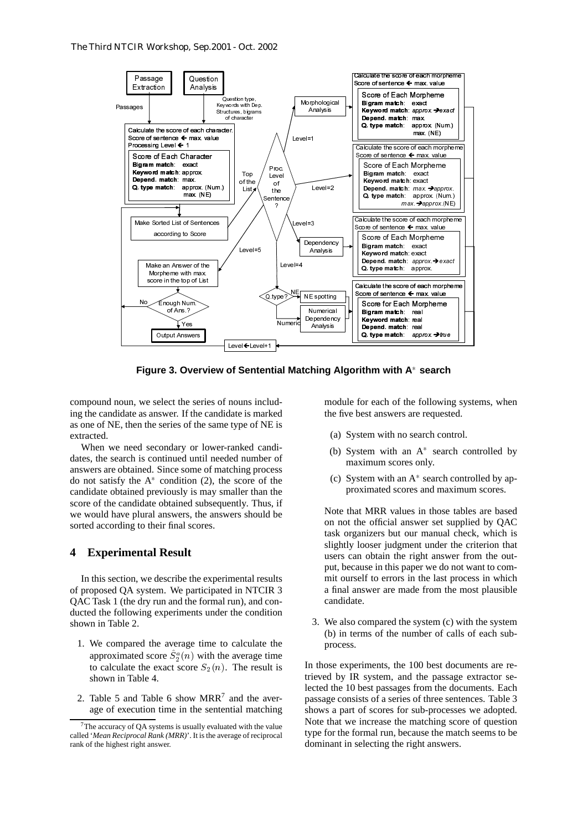

**Figure 3. Overview of Sentential Matching Algorithm with A search**

compound noun, we select the series of nouns including the candidate as answer. If the candidate is marked as one of NE, then the series of the same type of NE is extracted.

When we need secondary or lower-ranked candidates, the search is continued until needed number of answers are obtained. Since some of matching process do not satisfy the  $A^*$  condition (2), the score of the candidate obtained previously is may smaller than the score of the candidate obtained subsequently. Thus, if we would have plural answers, the answers should be sorted according to their final scores.

#### **4 Experimental Result**

In this section, we describe the experimental results of proposed QA system. We participated in NTCIR 3 QAC Task 1 (the dry run and the formal run), and conducted the following experiments under the condition shown in Table 2.

- 1. We compared the average time to calculate the approximated score  $S_2^a(n)$  with the average time to calculate the exact score  $S_2(n)$ . The result is shown in Table 4.
- 2. Table 5 and Table 6 show  $MRR^7$  and the average of execution time in the sentential matching

module for each of the following systems, when the five best answers are requested.

- (a) System with no search control.
- (b) System with an  $A^*$  search controlled by maximum scores only.
- (c) System with an A search controlled by approximated scores and maximum scores.

Bigram match: real<br>
Heyword match: real<br>
Neyword match: real<br>
Depend. match: real<br>
Q. type match: app<br>  $\frac{1}{\sqrt{2}}$ <br>  $\frac{1}{\sqrt{2}}$ <br>  $\frac{1}{\sqrt{2}}$ <br>  $\frac{1}{\sqrt{2}}$ <br>  $\frac{1}{\sqrt{2}}$ <br>  $\frac{1}{\sqrt{2}}$ <br>  $\frac{1}{\sqrt{2}}$ <br>  $\frac{1}{\sqrt{2}}$ <br>  $\frac{1}{$ Keyword match: real<br>Depend. match: real<br>O. type match: real<br>Q. type match: app<br> $Q$ . type match: app<br> $f(x) = 0$ <br> $f(x) = 0$ <br> $f(x) = 0$ <br> $f(x) = 0$ <br> $f(x) = 0$ <br> $f(x) = 0$ <br> $f(x) = 0$ <br> $f(x) = 0$ <br> $f(x) = 0$ <br> $f(x) = 0$ <br> $f(x) = 0$ <br> $f(x) = 0$ <br> $f(x) = 0$ <br> $f(x)$ Depend. match: real<br>  $Q. type match: cap$ <br>  $Q. type match: app$ <br>  $Q. type match: app$ <br>  $Q. type match: app$ <br>  $Q. type match: app$ <br>  $Q. The graph is a graph of the graph. The graph is a graph of the graph is a graph of the graph. The graph is a graph of the graph is a graph of the graph. The graph is a graph of the graph is a graph of the graph is a graph of the graph. The graph is a graph of the graph is a graph of the graph. The graph is a graph of the graph is a graph of the graph. The graph is a graph of the graph is a graph of the graph. The graph is a graph of the graph is a graph of the graph. The graph is a graph of the graph is a graph of the graph. The graph is a graph of the graph is a graph of$ **Q. type match:** approx. Find the following that the following and the following and the following and the match conterm with an  $A^*$  search time scores only.<br>
Here with an  $A^*$  search time scores only.<br>
Here with an  $A$ **a.** type match: approx.<br>  $\frac{1}{2}$ <br>  $\frac{1}{2}$  leadled the score of senthmete  $\frac{1}{2}$  max. Y<br>
Score for Each Morphe<br>
Bigram match: real<br> **Depend.** match: real<br> **Depend.** match: real<br> **Q. type match:** approx.<br> **C. type m** Note that MRR values in those tables are based on not the official answer set supplied by QAC task organizers but our manual check, which is slightly looser judgment under the criterion that users can obtain the right answer from the output, because in this paper we do not want to commit ourself to errors in the last process in which a final answer are made from the most plausible candidate.

3. We also compared the system (c) with the system (b) in terms of the number of calls of each subprocess.

In those experiments, the 100 best documents are retrieved by IR system, and the passage extractor selected the 10 best passages from the documents. Each passage consists of a series of three sentences. Table 3 shows a part of scores for sub-processes we adopted. Note that we increase the matching score of question type for the formal run, because the match seems to be dominant in selecting the right answers.

The accuracy of QA systems is usually evaluated with the value called '*Mean Reciprocal Rank (MRR)*'. It is the average of reciprocal rank of the highest right answer.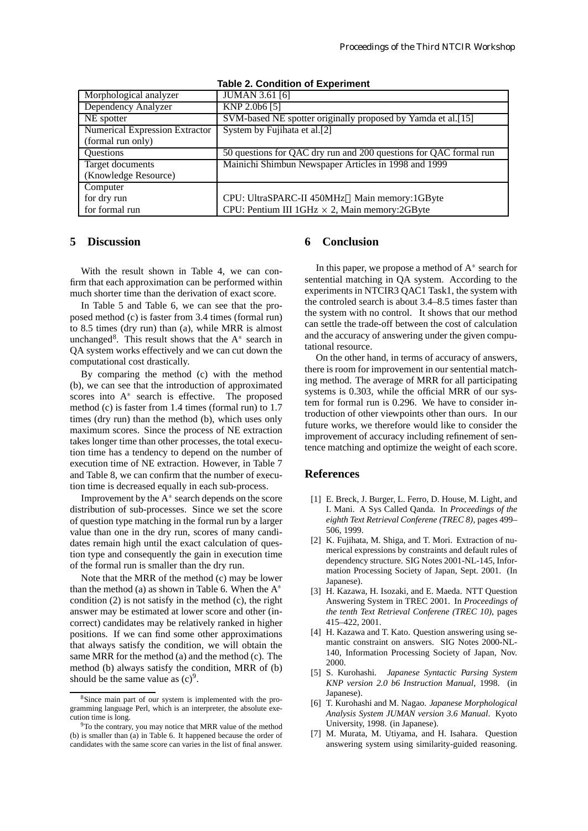| Morphological analyzer                | <b>JUMAN 3.61 [6]</b>                                             |
|---------------------------------------|-------------------------------------------------------------------|
| Dependency Analyzer                   | KNP 2.0b6 [5]                                                     |
| NE spotter                            | SVM-based NE spotter originally proposed by Yamda et al.[15]      |
| <b>Numerical Expression Extractor</b> | System by Fujihata et al.[2]                                      |
| (formal run only)                     |                                                                   |
| Questions                             | 50 questions for QAC dry run and 200 questions for QAC formal run |
| Target documents                      | Mainichi Shimbun Newspaper Articles in 1998 and 1999              |
| (Knowledge Resource)                  |                                                                   |
| Computer                              |                                                                   |
| for dry run                           | CPU: UltraSPARC-II 450MHz Main memory:1GByte                      |
| for formal run                        | CPU: Pentium III 1GHz $\times$ 2, Main memory: 2GByte             |

#### **Table 2. Condition of Experiment**

# **5 Discussion**

With the result shown in Table 4, we can confirm that each approximation can be performed within much shorter time than the derivation of exact score.

In Table 5 and Table 6, we can see that the proposed method (c) is faster from 3.4 times (formal run) to 8.5 times (dry run) than (a), while MRR is almost unchanged<sup>8</sup>. This result shows that the  $A^*$  search in QA system works effectively and we can cut down the computational cost drastically.

By comparing the method (c) with the method (b), we can see that the introduction of approximated scores into A<sup>\*</sup> search is effective. The proposed method (c) is faster from 1.4 times (formal run) to 1.7 times (dry run) than the method (b), which uses only maximum scores. Since the process of NE extraction takes longer time than other processes, the total execution time has a tendency to depend on the number of execution time of NE extraction. However, in Table 7 and Table 8, we can confirm that the number of execution time is decreased equally in each sub-process.

Improvement by the  $A^*$  search depends on the score distribution of sub-processes. Since we set the score of question type matching in the formal run by a larger value than one in the dry run, scores of many candidates remain high until the exact calculation of question type and consequently the gain in execution time of the formal run is smaller than the dry run.

Note that the MRR of the method (c) may be lower than the method (a) as shown in Table 6. When the  $A^*$ condition (2) is not satisfy in the method (c), the right answer may be estimated at lower score and other (incorrect) candidates may be relatively ranked in higher positions. If we can find some other approximations that always satisfy the condition, we will obtain the same MRR for the method (a) and the method (c). The method (b) always satisfy the condition, MRR of (b) should be the same value as  $(c)^9$ .

# **6 Conclusion**

In this paper, we propose a method of  $A^*$  search for sentential matching in QA system. According to the experiments in NTCIR3 QAC1 Task1, the system with the controled search is about 3.4–8.5 times faster than the system with no control. It shows that our method can settle the trade-off between the cost of calculation and the accuracy of answering under the given computational resource.

On the other hand, in terms of accuracy of answers, there is room for improvement in our sentential matching method. The average of MRR for all participating systems is 0.303, while the official MRR of our system for formal run is 0.296. We have to consider introduction of other viewpoints other than ours. In our future works, we therefore would like to consider the improvement of accuracy including refinement of sentence matching and optimize the weight of each score.

# **References**

- [1] E. Breck, J. Burger, L. Ferro, D. House, M. Light, and I. Mani. A Sys Called Qanda. In *Proceedings of the eighth Text Retrieval Conferene (TREC 8)*, pages 499– 506, 1999.
- [2] K. Fujihata, M. Shiga, and T. Mori. Extraction of numerical expressions by constraints and default rules of dependency structure. SIG Notes 2001-NL-145, Information Processing Society of Japan, Sept. 2001. (In Japanese).
- [3] H. Kazawa, H. Isozaki, and E. Maeda. NTT Question Answering System in TREC 2001. In *Proceedings of the tenth Text Retrieval Conferene (TREC 10)*, pages 415–422, 2001.
- [4] H. Kazawa and T. Kato. Question answering using semantic constraint on answers. SIG Notes 2000-NL-140, Information Processing Society of Japan, Nov. 2000.
- [5] S. Kurohashi. *Japanese Syntactic Parsing System KNP version 2.0 b6 Instruction Manual*, 1998. (in Japanese).
- [6] T. Kurohashi and M. Nagao. *Japanese Morphological Analysis System JUMAN version 3.6 Manual*. Kyoto University, 1998. (in Japanese).
- [7] M. Murata, M. Utiyama, and H. Isahara. Question answering system using similarity-guided reasoning.

<sup>8</sup>Since main part of our system is implemented with the programming language Perl, which is an interpreter, the absolute execution time is long.

<sup>&</sup>lt;sup>9</sup>To the contrary, you may notice that MRR value of the method (b) is smaller than (a) in Table 6. It happened because the order of candidates with the same score can varies in the list of final answer.